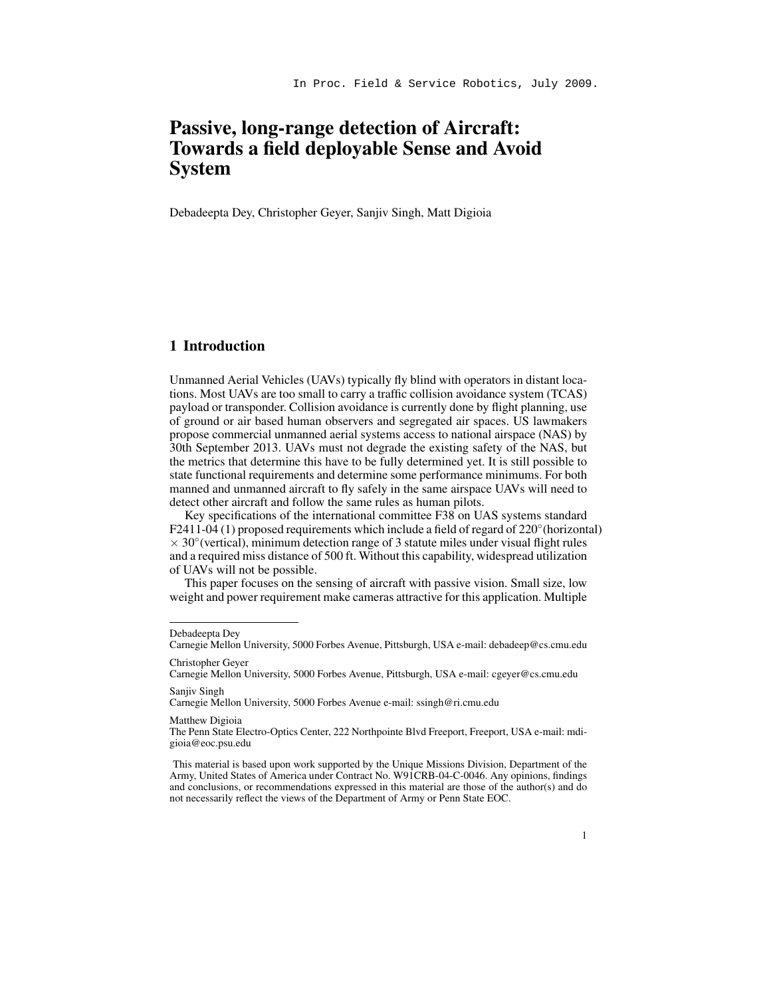# Passive, long-range detection of Aircraft: Towards a field deployable Sense and Avoid System

Debadeepta Dey, Christopher Geyer, Sanjiv Singh, Matt Digioia

## 1 Introduction

Unmanned Aerial Vehicles (UAVs) typically fly blind with operators in distant locations. Most UAVs are too small to carry a traffic collision avoidance system (TCAS) payload or transponder. Collision avoidance is currently done by flight planning, use of ground or air based human observers and segregated air spaces. US lawmakers propose commercial unmanned aerial systems access to national airspace (NAS) by 30th September 2013. UAVs must not degrade the existing safety of the NAS, but the metrics that determine this have to be fully determined yet. It is still possible to state functional requirements and determine some performance minimums. For both manned and unmanned aircraft to fly safely in the same airspace UAVs will need to detect other aircraft and follow the same rules as human pilots.

Key specifications of the international committee F38 on UAS systems standard F2411-04 (1) proposed requirements which include a field of regard of 220° (horizontal)  $\times$  30 $\degree$ (vertical), minimum detection range of 3 statute miles under visual flight rules and a required miss distance of 500 ft. Without this capability, widespread utilization of UAVs will not be possible.

This paper focuses on the sensing of aircraft with passive vision. Small size, low weight and power requirement make cameras attractive for this application. Multiple

Carnegie Mellon University, 5000 Forbes Avenue e-mail: ssingh@ri.cmu.edu

#### Matthew Digioia

Debadeepta Dey

Carnegie Mellon University, 5000 Forbes Avenue, Pittsburgh, USA e-mail: debadeep@cs.cmu.edu Christopher Geyer

Carnegie Mellon University, 5000 Forbes Avenue, Pittsburgh, USA e-mail: cgeyer@cs.cmu.edu Sanjiv Singh

The Penn State Electro-Optics Center, 222 Northpointe Blvd Freeport, Freeport, USA e-mail: mdigioia@eoc.psu.edu

This material is based upon work supported by the Unique Missions Division, Department of the Army, United States of America under Contract No. W91CRB-04-C-0046. Any opinions, findings and conclusions, or recommendations expressed in this material are those of the author(s) and do not necessarily reflect the views of the Department of Army or Penn State EOC.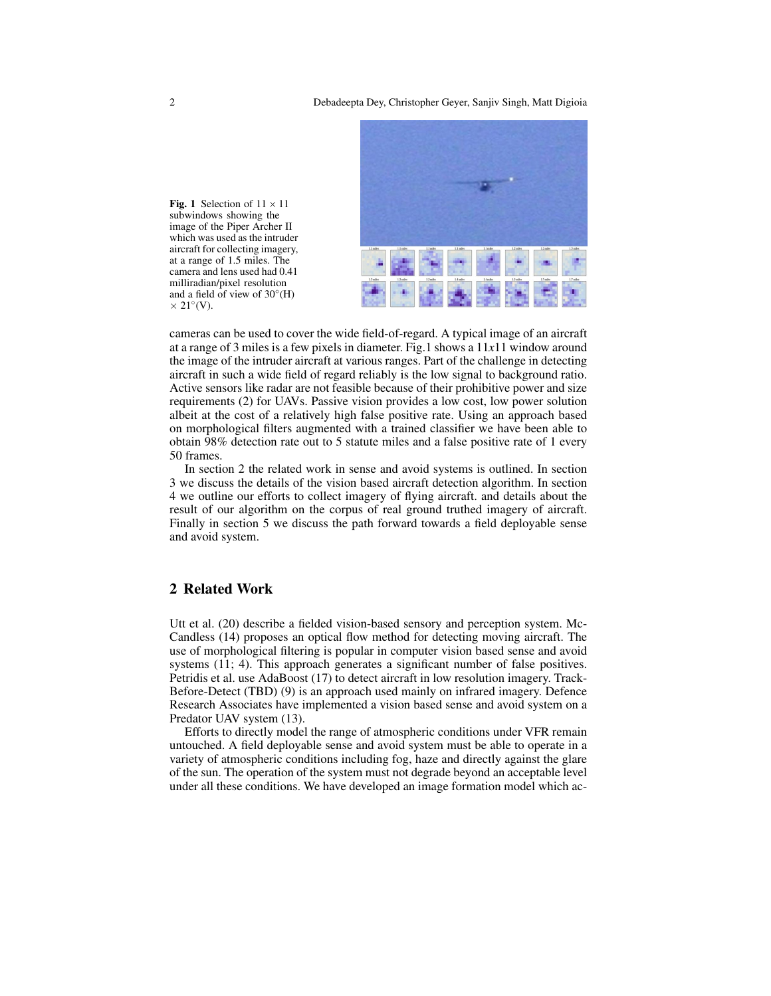

Fig. 1 Selection of  $11 \times 11$ subwindows showing the image of the Piper Archer II which was used as the intruder aircraft for collecting imagery, at a range of 1.5 miles. The camera and lens used had 0.41 milliradian/pixel resolution and a field of view of  $30^{\circ}$ (H)  $\times$  21 $\textdegree$ (V).

cameras can be used to cover the wide field-of-regard. A typical image of an aircraft at a range of 3 miles is a few pixels in diameter. Fig.1 shows a 11*x*11 window around the image of the intruder aircraft at various ranges. Part of the challenge in detecting aircraft in such a wide field of regard reliably is the low signal to background ratio. Active sensors like radar are not feasible because of their prohibitive power and size requirements (2) for UAVs. Passive vision provides a low cost, low power solution albeit at the cost of a relatively high false positive rate. Using an approach based on morphological filters augmented with a trained classifier we have been able to obtain 98% detection rate out to 5 statute miles and a false positive rate of 1 every 50 frames.

In section 2 the related work in sense and avoid systems is outlined. In section 3 we discuss the details of the vision based aircraft detection algorithm. In section 4 we outline our efforts to collect imagery of flying aircraft. and details about the result of our algorithm on the corpus of real ground truthed imagery of aircraft. Finally in section 5 we discuss the path forward towards a field deployable sense and avoid system.

### 2 Related Work

Utt et al. (20) describe a fielded vision-based sensory and perception system. Mc-Candless (14) proposes an optical flow method for detecting moving aircraft. The use of morphological filtering is popular in computer vision based sense and avoid systems (11; 4). This approach generates a significant number of false positives. Petridis et al. use AdaBoost (17) to detect aircraft in low resolution imagery. Track-Before-Detect (TBD) (9) is an approach used mainly on infrared imagery. Defence Research Associates have implemented a vision based sense and avoid system on a Predator UAV system (13).

Efforts to directly model the range of atmospheric conditions under VFR remain untouched. A field deployable sense and avoid system must be able to operate in a variety of atmospheric conditions including fog, haze and directly against the glare of the sun. The operation of the system must not degrade beyond an acceptable level under all these conditions. We have developed an image formation model which ac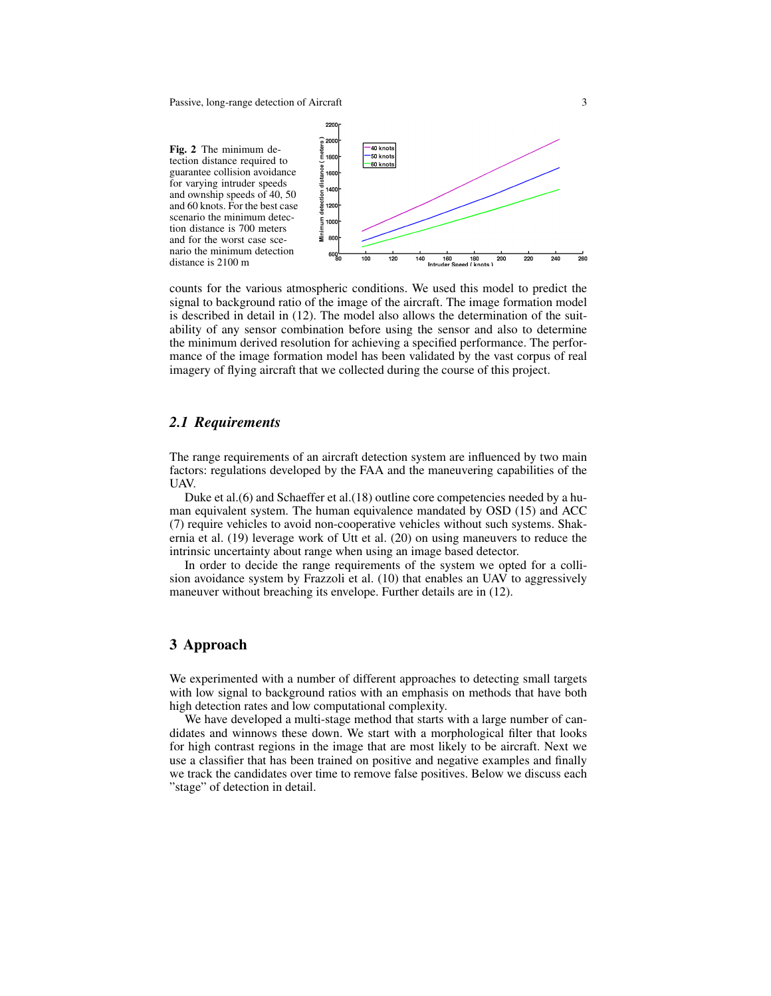Passive, long-range detection of Aircraft 3



counts for the various atmospheric conditions. We used this model to predict the signal to background ratio of the image of the aircraft. The image formation model is described in detail in (12). The model also allows the determination of the suitability of any sensor combination before using the sensor and also to determine the minimum derived resolution for achieving a specified performance. The performance of the image formation model has been validated by the vast corpus of real imagery of flying aircraft that we collected during the course of this project.

#### *2.1 Requirements*

The range requirements of an aircraft detection system are influenced by two main factors: regulations developed by the FAA and the maneuvering capabilities of the UAV.

Duke et al.(6) and Schaeffer et al.(18) outline core competencies needed by a human equivalent system. The human equivalence mandated by OSD (15) and ACC (7) require vehicles to avoid non-cooperative vehicles without such systems. Shakernia et al. (19) leverage work of Utt et al. (20) on using maneuvers to reduce the intrinsic uncertainty about range when using an image based detector.

In order to decide the range requirements of the system we opted for a collision avoidance system by Frazzoli et al. (10) that enables an UAV to aggressively maneuver without breaching its envelope. Further details are in (12).

# 3 Approach

We experimented with a number of different approaches to detecting small targets with low signal to background ratios with an emphasis on methods that have both high detection rates and low computational complexity.

We have developed a multi-stage method that starts with a large number of candidates and winnows these down. We start with a morphological filter that looks for high contrast regions in the image that are most likely to be aircraft. Next we use a classifier that has been trained on positive and negative examples and finally we track the candidates over time to remove false positives. Below we discuss each "stage" of detection in detail.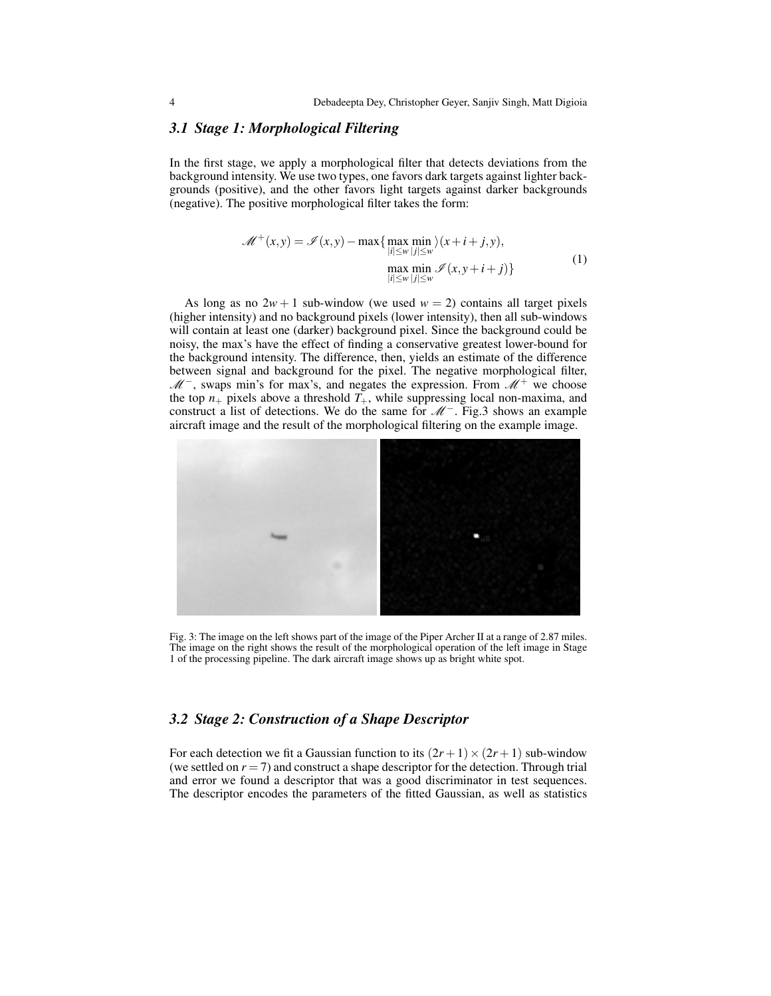#### *3.1 Stage 1: Morphological Filtering*

In the first stage, we apply a morphological filter that detects deviations from the background intensity. We use two types, one favors dark targets against lighter backgrounds (positive), and the other favors light targets against darker backgrounds (negative). The positive morphological filter takes the form:

$$
\mathcal{M}^+(x,y) = \mathcal{I}(x,y) - \max\{\max_{|i| \le w} \min_{|j| \le w} \rangle (x+i+j,y),
$$
  
\n
$$
\max_{|i| \le w} \min_{|j| \le w} \mathcal{I}(x,y+i+j)\}
$$
\n(1)

As long as no  $2w + 1$  sub-window (we used  $w = 2$ ) contains all target pixels (higher intensity) and no background pixels (lower intensity), then all sub-windows will contain at least one (darker) background pixel. Since the background could be noisy, the max's have the effect of finding a conservative greatest lower-bound for the background intensity. The difference, then, yields an estimate of the difference between signal and background for the pixel. The negative morphological filter,  $\mathcal{M}^-$ , swaps min's for max's, and negates the expression. From  $\mathcal{M}^+$  we choose the top  $n_+$  pixels above a threshold  $T_+$ , while suppressing local non-maxima, and construct a list of detections. We do the same for  $\mathcal{M}^-$ . Fig.3 shows an example aircraft image and the result of the morphological filtering on the example image.



Fig. 3: The image on the left shows part of the image of the Piper Archer II at a range of 2.87 miles. The image on the right shows the result of the morphological operation of the left image in Stage 1 of the processing pipeline. The dark aircraft image shows up as bright white spot.

#### *3.2 Stage 2: Construction of a Shape Descriptor*

For each detection we fit a Gaussian function to its  $(2r+1) \times (2r+1)$  sub-window (we settled on  $r = 7$ ) and construct a shape descriptor for the detection. Through trial and error we found a descriptor that was a good discriminator in test sequences. The descriptor encodes the parameters of the fitted Gaussian, as well as statistics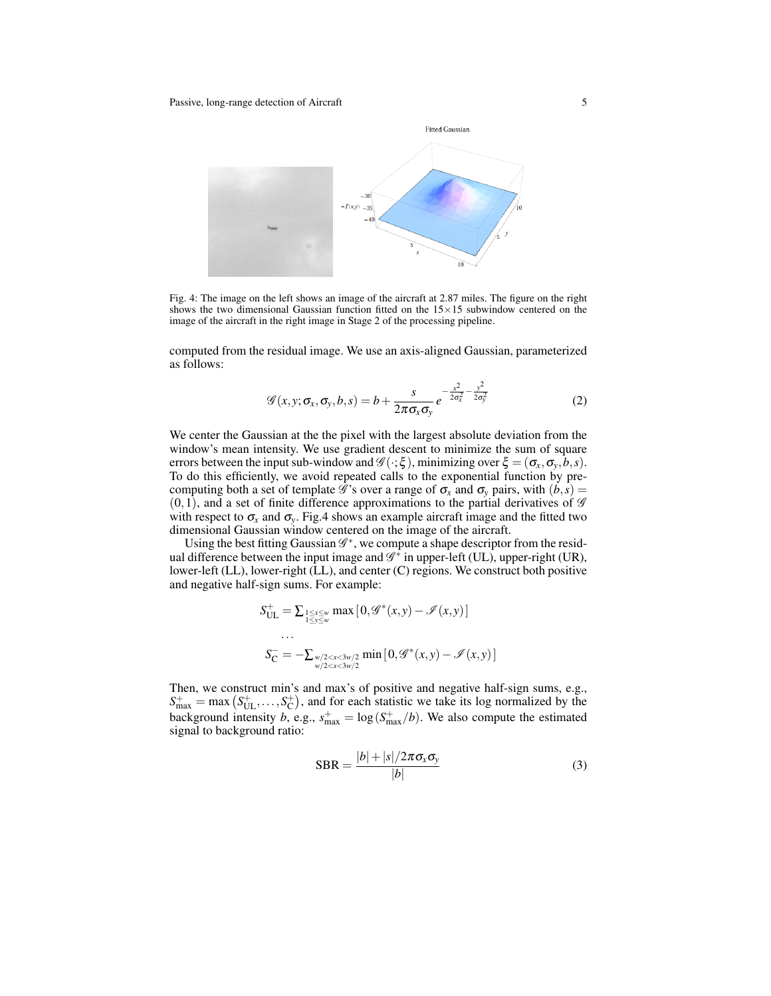

Fig. 4: The image on the left shows an image of the aircraft at 2.87 miles. The figure on the right shows the two dimensional Gaussian function fitted on the  $15 \times 15$  subwindow centered on the image of the aircraft in the right image in Stage 2 of the processing pipeline.

computed from the residual image. We use an axis-aligned Gaussian, parameterized as follows:

$$
\mathscr{G}(x, y; \sigma_x, \sigma_y, b, s) = b + \frac{s}{2\pi\sigma_x\sigma_y} e^{-\frac{x^2}{2\sigma_x^2} - \frac{y^2}{2\sigma_y^2}}
$$
(2)

We center the Gaussian at the the pixel with the largest absolute deviation from the window's mean intensity. We use gradient descent to minimize the sum of square errors between the input sub-window and  $\mathscr{G}(\cdot;\xi)$ , minimizing over  $\xi = (\sigma_x, \sigma_y, b, s)$ . To do this efficiently, we avoid repeated calls to the exponential function by precomputing both a set of template  $\mathscr G$ 's over a range of  $\sigma_x$  and  $\sigma_y$  pairs, with  $(b, s)$  =  $(0,1)$ , and a set of finite difference approximations to the partial derivatives of  $\mathscr G$ with respect to  $\sigma_x$  and  $\sigma_y$ . Fig.4 shows an example aircraft image and the fitted two dimensional Gaussian window centered on the image of the aircraft.

Using the best fitting Gaussian  $\mathscr{G}^*$ , we compute a shape descriptor from the residual difference between the input image and  $\mathscr{G}^*$  in upper-left (UL), upper-right (UR), lower-left (LL), lower-right (LL), and center (C) regions. We construct both positive and negative half-sign sums. For example:

$$
S_{\text{UL}}^{+} = \sum_{1 \leq x \leq w \atop 1 \leq y \leq w} \max\left[0, \mathcal{G}^*(x, y) - \mathcal{I}(x, y)\right]
$$

$$
\dots
$$

$$
S_{\text{C}}^{-} = -\sum_{\substack{w/2 < x < 3w/2 \\ w/2 < x < 3w/2}} \min\left[0, \mathcal{G}^*(x, y) - \mathcal{I}(x, y)\right]
$$

Then, we construct min's and max's of positive and negative half-sign sums, e.g.,  $S_{\text{max}}^+$  = max  $(S_{\text{UL}}^+$ , ..., $S_{\text{C}}^+$ ), and for each statistic we take its log normalized by the  $B_{\text{max}} = \text{max} \left( B_{\text{UL}}, \ldots, B_{\text{C}} \right)$ , and for each statistic we take its log normalized by the background intensity *b*, e.g.,  $s_{\text{max}}^+ = \log \left( S_{\text{max}}^+ / b \right)$ . We also compute the estimated signal to background ratio:

$$
SBR = \frac{|b| + |s|/2\pi\sigma_x\sigma_y}{|b|} \tag{3}
$$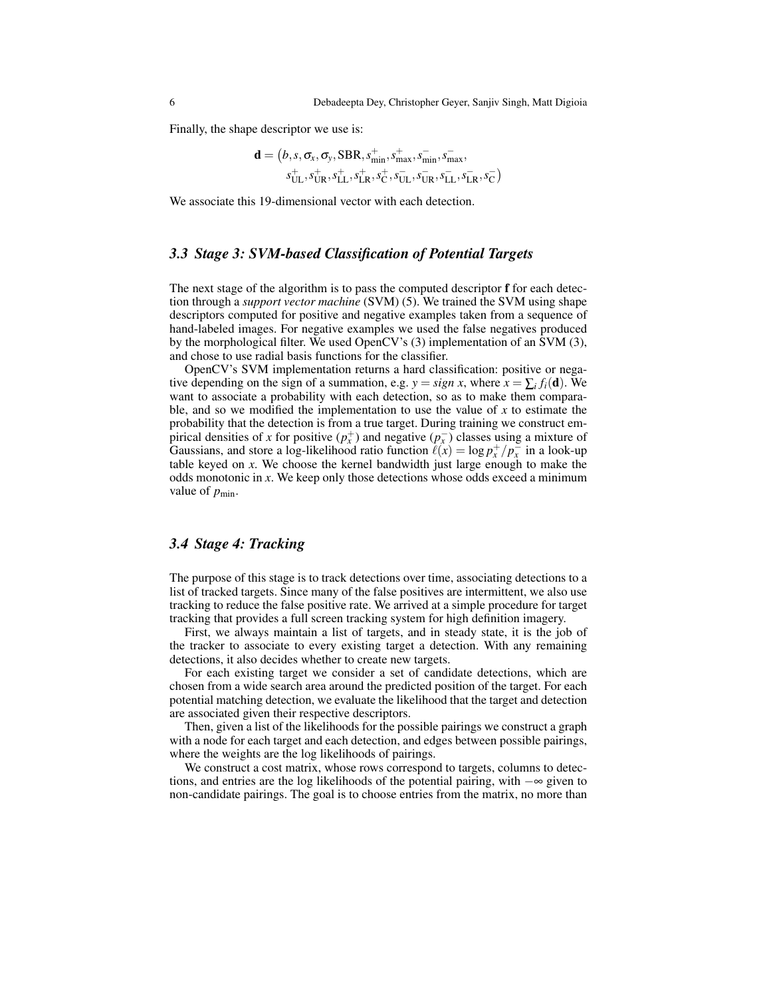Finally, the shape descriptor we use is:

$$
\mathbf{d} = (b, s, \sigma_x, \sigma_y, \text{SBR}, s_{\min}^+, s_{\max}^+, s_{\min}^-, s_{\max}^-, s_{\max}^-, s_{\text{UL}}^+, s_{\text{UL}}^+, s_{\text{LL}}^+, s_{\text{LL}}^+, s_{\text{LR}}^+, s_{\text{UL}}^-, s_{\text{LR}}^-, s_{\text{CL}}^-)
$$

We associate this 19-dimensional vector with each detection.

#### *3.3 Stage 3: SVM-based Classification of Potential Targets*

The next stage of the algorithm is to pass the computed descriptor f for each detection through a *support vector machine* (SVM) (5). We trained the SVM using shape descriptors computed for positive and negative examples taken from a sequence of hand-labeled images. For negative examples we used the false negatives produced by the morphological filter. We used OpenCV's (3) implementation of an SVM (3), and chose to use radial basis functions for the classifier.

OpenCV's SVM implementation returns a hard classification: positive or negative depending on the sign of a summation, e.g.  $y = sign x$ , where  $x = \sum_i f_i(\mathbf{d})$ . We want to associate a probability with each detection, so as to make them comparable, and so we modified the implementation to use the value of *x* to estimate the probability that the detection is from a true target. During training we construct empirical densities of *x* for positive  $(p_x^+)$  and negative  $(p_x^-)$  classes using a mixture of Gaussians, and store a log-likelihood ratio function  $\ell(x) = \log p_x^+ / p_x^-$  in a look-up table keyed on *x*. We choose the kernel bandwidth just large enough to make the odds monotonic in *x*. We keep only those detections whose odds exceed a minimum value of  $p_{\text{min}}$ .

#### *3.4 Stage 4: Tracking*

The purpose of this stage is to track detections over time, associating detections to a list of tracked targets. Since many of the false positives are intermittent, we also use tracking to reduce the false positive rate. We arrived at a simple procedure for target tracking that provides a full screen tracking system for high definition imagery.

First, we always maintain a list of targets, and in steady state, it is the job of the tracker to associate to every existing target a detection. With any remaining detections, it also decides whether to create new targets.

For each existing target we consider a set of candidate detections, which are chosen from a wide search area around the predicted position of the target. For each potential matching detection, we evaluate the likelihood that the target and detection are associated given their respective descriptors.

Then, given a list of the likelihoods for the possible pairings we construct a graph with a node for each target and each detection, and edges between possible pairings, where the weights are the log likelihoods of pairings.

We construct a cost matrix, whose rows correspond to targets, columns to detections, and entries are the log likelihoods of the potential pairing, with −∞ given to non-candidate pairings. The goal is to choose entries from the matrix, no more than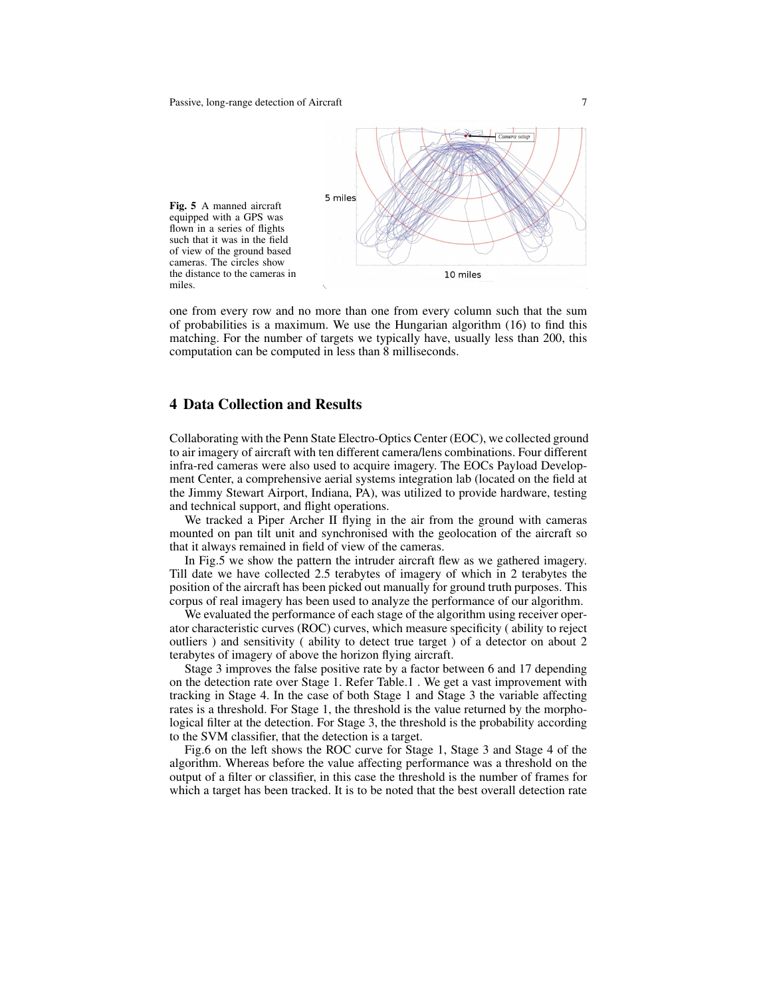

one from every row and no more than one from every column such that the sum of probabilities is a maximum. We use the Hungarian algorithm (16) to find this matching. For the number of targets we typically have, usually less than 200, this computation can be computed in less than 8 milliseconds.

#### 4 Data Collection and Results

Collaborating with the Penn State Electro-Optics Center (EOC), we collected ground to air imagery of aircraft with ten different camera/lens combinations. Four different infra-red cameras were also used to acquire imagery. The EOCs Payload Development Center, a comprehensive aerial systems integration lab (located on the field at the Jimmy Stewart Airport, Indiana, PA), was utilized to provide hardware, testing and technical support, and flight operations.

We tracked a Piper Archer II flying in the air from the ground with cameras mounted on pan tilt unit and synchronised with the geolocation of the aircraft so that it always remained in field of view of the cameras.

In Fig.5 we show the pattern the intruder aircraft flew as we gathered imagery. Till date we have collected 2.5 terabytes of imagery of which in 2 terabytes the position of the aircraft has been picked out manually for ground truth purposes. This corpus of real imagery has been used to analyze the performance of our algorithm.

We evaluated the performance of each stage of the algorithm using receiver operator characteristic curves (ROC) curves, which measure specificity ( ability to reject outliers ) and sensitivity ( ability to detect true target ) of a detector on about 2 terabytes of imagery of above the horizon flying aircraft.

Stage 3 improves the false positive rate by a factor between 6 and 17 depending on the detection rate over Stage 1. Refer Table.1 . We get a vast improvement with tracking in Stage 4. In the case of both Stage 1 and Stage 3 the variable affecting rates is a threshold. For Stage 1, the threshold is the value returned by the morphological filter at the detection. For Stage 3, the threshold is the probability according to the SVM classifier, that the detection is a target.

Fig.6 on the left shows the ROC curve for Stage 1, Stage 3 and Stage 4 of the algorithm. Whereas before the value affecting performance was a threshold on the output of a filter or classifier, in this case the threshold is the number of frames for which a target has been tracked. It is to be noted that the best overall detection rate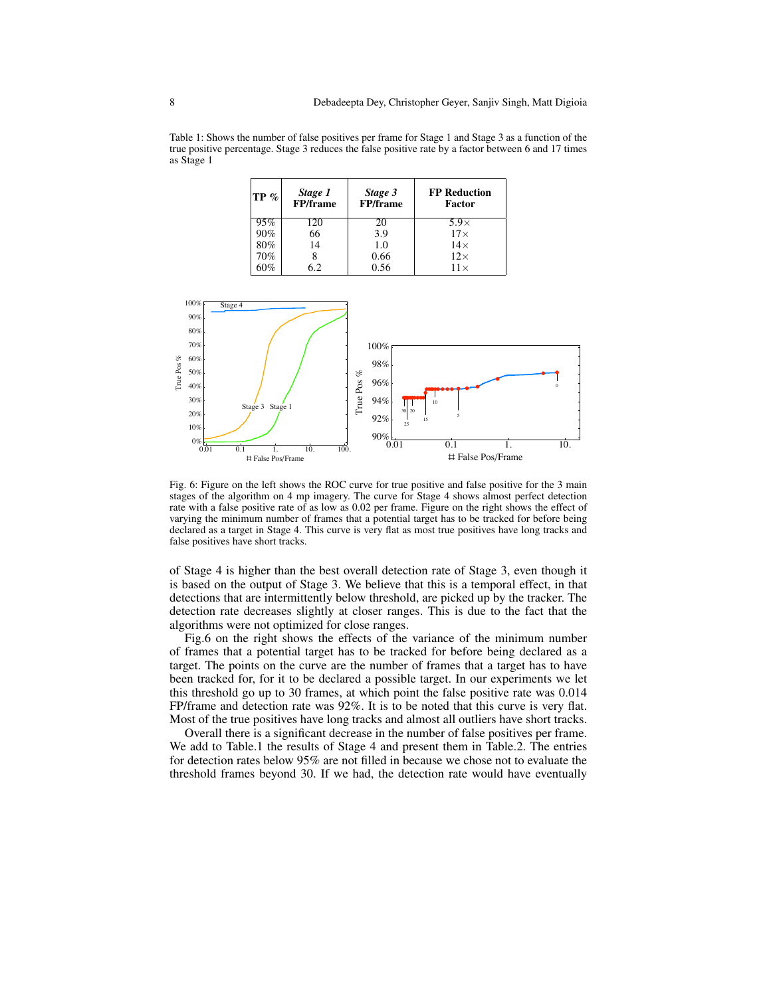Table 1: Shows the number of false positives per frame for Stage 1 and Stage 3 as a function of the true positive percentage. Stage 3 reduces the false positive rate by a factor between 6 and 17 times as Stage 1

| $ {\rm TP}\% $ | Stage 1<br><b>FP/frame</b> | Stage 3<br><b>FP/frame</b> | <b>FP Reduction</b><br>Factor |
|----------------|----------------------------|----------------------------|-------------------------------|
| 95%            | 120                        | 20                         | $5.9\times$                   |
| 90%            | 66                         | 3.9                        | $17\times$                    |
| 80%            | 14                         | 1.0                        | $14\times$                    |
| 70%            |                            | 0.66                       | $12\times$                    |
|                | 62                         | 0.56                       | $11 \times$                   |



Fig. 6: Figure on the left shows the ROC curve for true positive and false positive for the 3 main stages of the algorithm on 4 mp imagery. The curve for Stage 4 shows almost perfect detection rate with a false positive rate of as low as 0.02 per frame. Figure on the right shows the effect of varying the minimum number of frames that a potential target has to be tracked for before being declared as a target in Stage 4. This curve is very flat as most true positives have long tracks and false positives have short tracks.

of Stage 4 is higher than the best overall detection rate of Stage 3, even though it is based on the output of Stage 3. We believe that this is a temporal effect, in that detections that are intermittently below threshold, are picked up by the tracker. The detection rate decreases slightly at closer ranges. This is due to the fact that the algorithms were not optimized for close ranges.

Fig.6 on the right shows the effects of the variance of the minimum number of frames that a potential target has to be tracked for before being declared as a target. The points on the curve are the number of frames that a target has to have been tracked for, for it to be declared a possible target. In our experiments we let this threshold go up to 30 frames, at which point the false positive rate was 0.014 FP/frame and detection rate was 92%. It is to be noted that this curve is very flat. Most of the true positives have long tracks and almost all outliers have short tracks.

Overall there is a significant decrease in the number of false positives per frame. We add to Table.1 the results of Stage 4 and present them in Table.2. The entries for detection rates below 95% are not filled in because we chose not to evaluate the threshold frames beyond 30. If we had, the detection rate would have eventually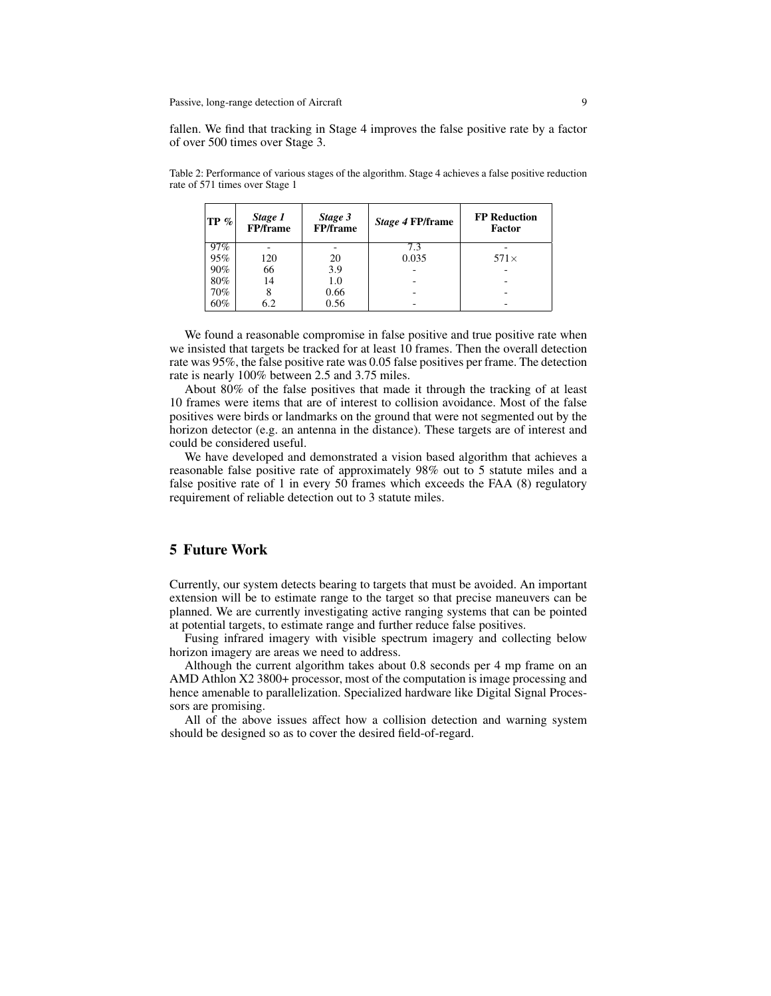fallen. We find that tracking in Stage 4 improves the false positive rate by a factor of over 500 times over Stage 3.

Table 2: Performance of various stages of the algorithm. Stage 4 achieves a false positive reduction rate of 571 times over Stage 1

| $ {\rm TP}\% $ | Stage 1<br><b>FP/frame</b> | Stage 3<br><b>FP/frame</b> | Stage 4 FP/frame | <b>FP</b> Reduction<br>Factor |
|----------------|----------------------------|----------------------------|------------------|-------------------------------|
| 97%            |                            |                            |                  |                               |
| 95%            | 120                        | 20                         | 0.035            | $571\times$                   |
| 90%            | 66                         | 3.9                        |                  |                               |
| 80%            | 14                         | 1.0                        |                  |                               |
| 70%            |                            | 0.66                       |                  |                               |
| 60%            | 6.2                        | 0.56                       |                  |                               |

We found a reasonable compromise in false positive and true positive rate when we insisted that targets be tracked for at least 10 frames. Then the overall detection rate was 95%, the false positive rate was 0.05 false positives per frame. The detection rate is nearly 100% between 2.5 and 3.75 miles.

About 80% of the false positives that made it through the tracking of at least 10 frames were items that are of interest to collision avoidance. Most of the false positives were birds or landmarks on the ground that were not segmented out by the horizon detector (e.g. an antenna in the distance). These targets are of interest and could be considered useful.

We have developed and demonstrated a vision based algorithm that achieves a reasonable false positive rate of approximately 98% out to 5 statute miles and a false positive rate of 1 in every 50 frames which exceeds the FAA (8) regulatory requirement of reliable detection out to 3 statute miles.

#### 5 Future Work

Currently, our system detects bearing to targets that must be avoided. An important extension will be to estimate range to the target so that precise maneuvers can be planned. We are currently investigating active ranging systems that can be pointed at potential targets, to estimate range and further reduce false positives.

Fusing infrared imagery with visible spectrum imagery and collecting below horizon imagery are areas we need to address.

Although the current algorithm takes about 0.8 seconds per 4 mp frame on an AMD Athlon X2 3800+ processor, most of the computation is image processing and hence amenable to parallelization. Specialized hardware like Digital Signal Processors are promising.

All of the above issues affect how a collision detection and warning system should be designed so as to cover the desired field-of-regard.